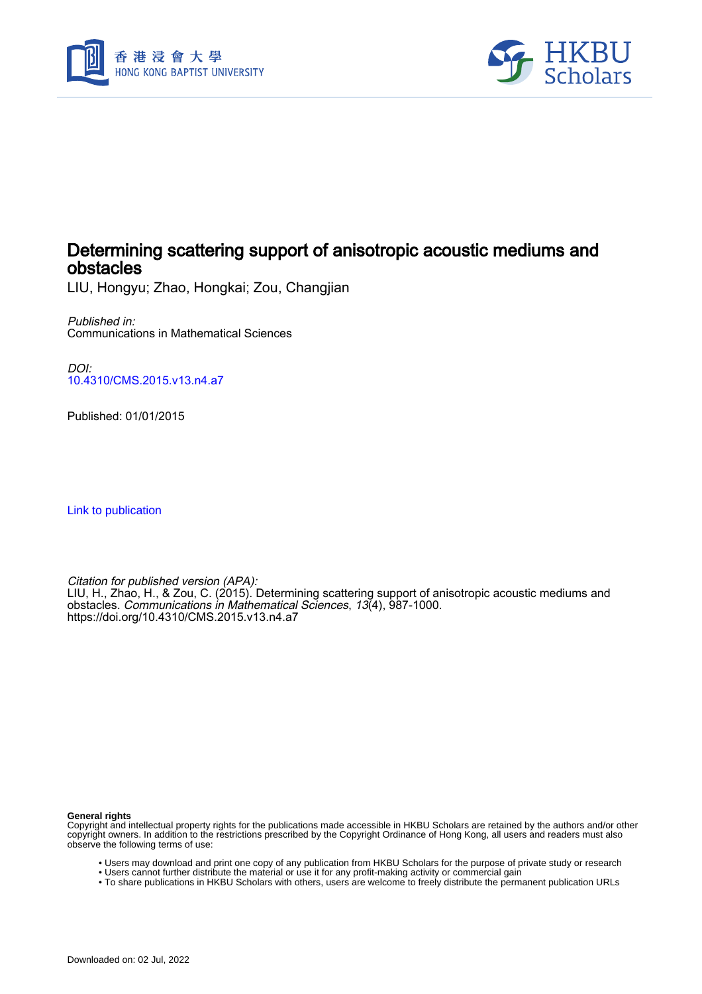



# Determining scattering support of anisotropic acoustic mediums and obstacles

LIU, Hongyu; Zhao, Hongkai; Zou, Changjian

Published in: Communications in Mathematical Sciences

DOI: [10.4310/CMS.2015.v13.n4.a7](https://doi.org/10.4310/CMS.2015.v13.n4.a7)

Published: 01/01/2015

[Link to publication](https://scholars.hkbu.edu.hk/en/publications/a2ab7b71-4757-416d-8fe4-adbe321b336c)

Citation for published version (APA): LIU, H., Zhao, H., & Zou, C. (2015). Determining scattering support of anisotropic acoustic mediums and obstacles. Communications in Mathematical Sciences, 13(4), 987-1000. <https://doi.org/10.4310/CMS.2015.v13.n4.a7>

**General rights**

Copyright and intellectual property rights for the publications made accessible in HKBU Scholars are retained by the authors and/or other copyright owners. In addition to the restrictions prescribed by the Copyright Ordinance of Hong Kong, all users and readers must also observe the following terms of use:

- Users may download and print one copy of any publication from HKBU Scholars for the purpose of private study or research
- Users cannot further distribute the material or use it for any profit-making activity or commercial gain
- To share publications in HKBU Scholars with others, users are welcome to freely distribute the permanent publication URLs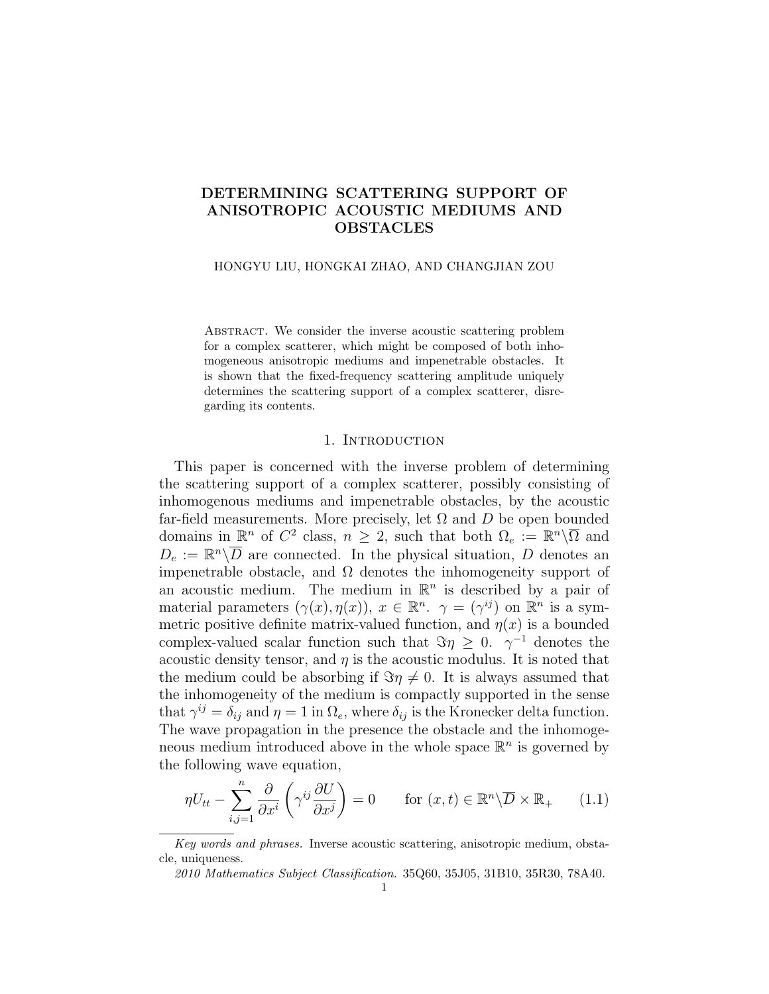# DETERMINING SCATTERING SUPPORT OF ANISOTROPIC ACOUSTIC MEDIUMS AND OBSTACLES

## HONGYU LIU, HONGKAI ZHAO, AND CHANGJIAN ZOU

ABSTRACT. We consider the inverse acoustic scattering problem for a complex scatterer, which might be composed of both inhomogeneous anisotropic mediums and impenetrable obstacles. It is shown that the fixed-frequency scattering amplitude uniquely determines the scattering support of a complex scatterer, disregarding its contents.

# 1. Introduction

This paper is concerned with the inverse problem of determining the scattering support of a complex scatterer, possibly consisting of inhomogenous mediums and impenetrable obstacles, by the acoustic far-field measurements. More precisely, let  $\Omega$  and  $D$  be open bounded domains in  $\mathbb{R}^n$  of  $C^2$  class,  $n \geq 2$ , such that both  $\Omega_e := \mathbb{R}^n \setminus \overline{\Omega}$  and  $D_e := \mathbb{R}^n \backslash \overline{D}$  are connected. In the physical situation, D denotes an impenetrable obstacle, and  $\Omega$  denotes the inhomogeneity support of an acoustic medium. The medium in  $\mathbb{R}^n$  is described by a pair of material parameters  $(\gamma(x), \eta(x)), x \in \mathbb{R}^n$ .  $\gamma = (\gamma^{ij})$  on  $\mathbb{R}^n$  is a symmetric positive definite matrix-valued function, and  $\eta(x)$  is a bounded complex-valued scalar function such that  $\Im \eta \geq 0$ .  $\gamma^{-1}$  denotes the acoustic density tensor, and  $\eta$  is the acoustic modulus. It is noted that the medium could be absorbing if  $\Im \eta \neq 0$ . It is always assumed that the inhomogeneity of the medium is compactly supported in the sense that  $\gamma^{ij} = \delta_{ij}$  and  $\eta = 1$  in  $\Omega_e$ , where  $\delta_{ij}$  is the Kronecker delta function. The wave propagation in the presence the obstacle and the inhomogeneous medium introduced above in the whole space  $\mathbb{R}^n$  is governed by the following wave equation,

$$
\eta U_{tt} - \sum_{i,j=1}^{n} \frac{\partial}{\partial x^i} \left( \gamma^{ij} \frac{\partial U}{\partial x^j} \right) = 0 \quad \text{for } (x,t) \in \mathbb{R}^n \setminus \overline{D} \times \mathbb{R}_+ \qquad (1.1)
$$

Key words and phrases. Inverse acoustic scattering, anisotropic medium, obstacle, uniqueness.

<sup>2010</sup> Mathematics Subject Classification. 35Q60, 35J05, 31B10, 35R30, 78A40.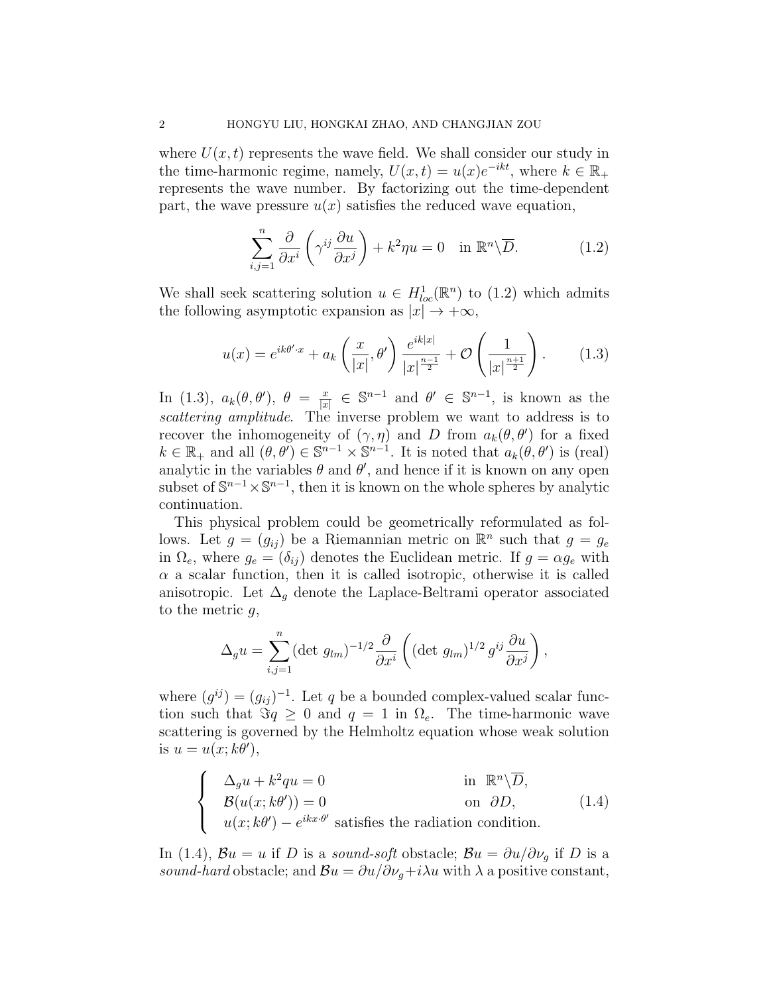where  $U(x, t)$  represents the wave field. We shall consider our study in the time-harmonic regime, namely,  $U(x,t) = u(x)e^{-ikt}$ , where  $k \in \mathbb{R}_+$ represents the wave number. By factorizing out the time-dependent part, the wave pressure  $u(x)$  satisfies the reduced wave equation,

$$
\sum_{i,j=1}^{n} \frac{\partial}{\partial x^{i}} \left( \gamma^{ij} \frac{\partial u}{\partial x^{j}} \right) + k^{2} \eta u = 0 \quad \text{in } \mathbb{R}^{n} \setminus \overline{D}.
$$
 (1.2)

We shall seek scattering solution  $u \in H^1_{loc}(\mathbb{R}^n)$  to  $(1.2)$  which admits the following asymptotic expansion as  $|x| \to +\infty$ ,

$$
u(x) = e^{ik\theta' \cdot x} + a_k \left(\frac{x}{|x|}, \theta'\right) \frac{e^{ik|x|}}{|x|^{\frac{n-1}{2}}} + \mathcal{O}\left(\frac{1}{|x|^{\frac{n+1}{2}}}\right). \tag{1.3}
$$

In (1.3),  $a_k(\theta, \theta')$ ,  $\theta = \frac{x}{|x|}$  $\frac{x}{|x|} \in \mathbb{S}^{n-1}$  and  $\theta' \in \mathbb{S}^{n-1}$ , is known as the scattering amplitude. The inverse problem we want to address is to recover the inhomogeneity of  $(\gamma, \eta)$  and D from  $a_k(\theta, \theta')$  for a fixed  $k \in \mathbb{R}_+$  and all  $(\theta, \theta') \in \mathbb{S}^{n-1} \times \mathbb{S}^{n-1}$ . It is noted that  $a_k(\theta, \theta')$  is (real) analytic in the variables  $\theta$  and  $\theta'$ , and hence if it is known on any open subset of  $\mathbb{S}^{n-1}\times \mathbb{S}^{n-1}$ , then it is known on the whole spheres by analytic continuation.

This physical problem could be geometrically reformulated as follows. Let  $g = (g_{ij})$  be a Riemannian metric on  $\mathbb{R}^n$  such that  $g = g_e$ in  $\Omega_e$ , where  $g_e = (\delta_{ij})$  denotes the Euclidean metric. If  $g = \alpha g_e$  with  $\alpha$  a scalar function, then it is called isotropic, otherwise it is called anisotropic. Let  $\Delta_g$  denote the Laplace-Beltrami operator associated to the metric  $q$ ,

$$
\Delta_g u = \sum_{i,j=1}^n (\det g_{lm})^{-1/2} \frac{\partial}{\partial x^i} \left( (\det g_{lm})^{1/2} g^{ij} \frac{\partial u}{\partial x^j} \right),
$$

where  $(g^{ij}) = (g_{ij})^{-1}$ . Let q be a bounded complex-valued scalar function such that  $\Im q \geq 0$  and  $q = 1$  in  $\Omega_e$ . The time-harmonic wave scattering is governed by the Helmholtz equation whose weak solution is  $u = u(x; k\theta'),$ 

$$
\begin{cases}\n\Delta_g u + k^2 q u = 0 & \text{in } \mathbb{R}^n \setminus \overline{D}, \\
\mathcal{B}(u(x; k\theta')) = 0 & \text{on } \partial D, \\
u(x; k\theta') - e^{ikx \cdot \theta'} \text{ satisfies the radiation condition.} \n\end{cases}
$$
\n(1.4)

In (1.4),  $\mathcal{B}u = u$  if D is a sound-soft obstacle;  $\mathcal{B}u = \partial u / \partial \nu_g$  if D is a sound-hard obstacle; and  $\mathcal{B}u = \partial u/\partial \nu_q + i\lambda u$  with  $\lambda$  a positive constant,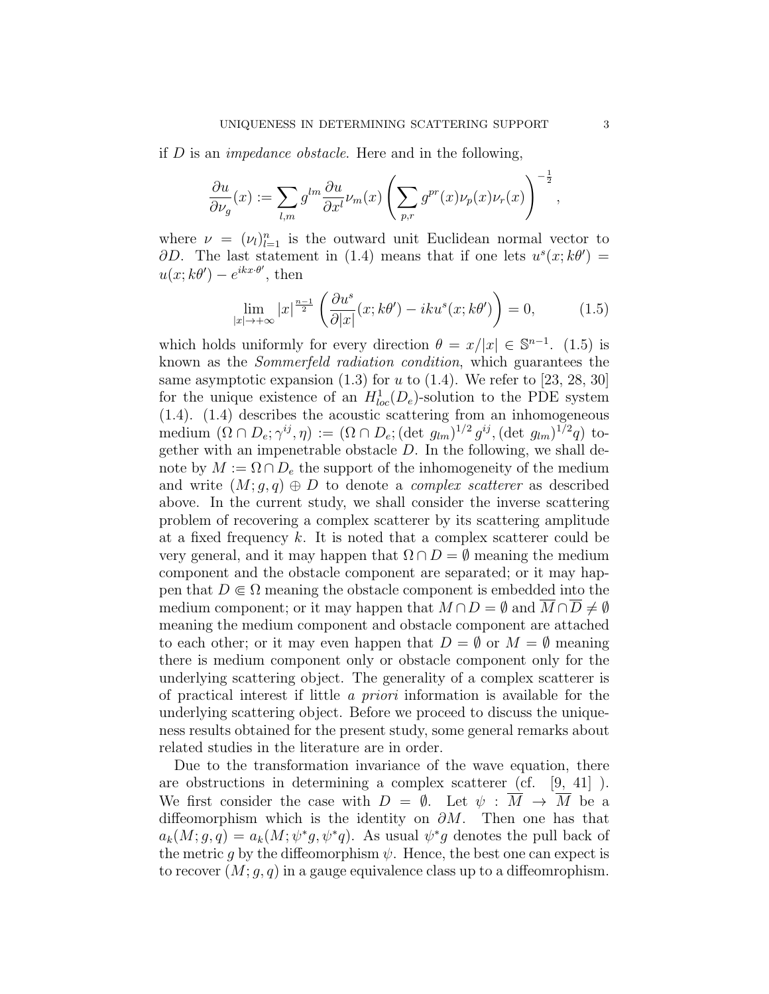if D is an impedance obstacle. Here and in the following,

$$
\frac{\partial u}{\partial \nu_g}(x):=\sum_{l,m}g^{lm}\frac{\partial u}{\partial x^l}\nu_m(x)\left(\sum_{p,r}g^{pr}(x)\nu_p(x)\nu_r(x)\right)^{-\frac{1}{2}},
$$

where  $\nu = (\nu_l)_{l=1}^n$  is the outward unit Euclidean normal vector to  $\partial D$ . The last statement in (1.4) means that if one lets  $u^s(x; k\theta') =$  $u(x; k\theta) - e^{ikx \cdot \theta'}$ , then

$$
\lim_{|x| \to +\infty} |x|^{\frac{n-1}{2}} \left( \frac{\partial u^s}{\partial |x|} (x; k\theta') - iku^s(x; k\theta') \right) = 0, \quad (1.5)
$$

which holds uniformly for every direction  $\theta = x/|x| \in \mathbb{S}^{n-1}$ . (1.5) is known as the Sommerfeld radiation condition, which guarantees the same asymptotic expansion  $(1.3)$  for u to  $(1.4)$ . We refer to  $[23, 28, 30]$ for the unique existence of an  $H_{loc}^1(D_e)$ -solution to the PDE system (1.4). (1.4) describes the acoustic scattering from an inhomogeneous medium  $(\Omega \cap D_e; \gamma^{ij}, \eta) := (\Omega \cap D_e; (\det g_{lm})^{1/2} g^{ij}, (\det g_{lm})^{1/2} q)$  together with an impenetrable obstacle  $D$ . In the following, we shall denote by  $M := \Omega \cap D_e$  the support of the inhomogeneity of the medium and write  $(M; g, q) \oplus D$  to denote a *complex scatterer* as described above. In the current study, we shall consider the inverse scattering problem of recovering a complex scatterer by its scattering amplitude at a fixed frequency  $k$ . It is noted that a complex scatterer could be very general, and it may happen that  $\Omega \cap D = \emptyset$  meaning the medium component and the obstacle component are separated; or it may happen that  $D \in \Omega$  meaning the obstacle component is embedded into the medium component; or it may happen that  $M \cap D = \emptyset$  and  $M \cap D \neq \emptyset$ meaning the medium component and obstacle component are attached to each other; or it may even happen that  $D = \emptyset$  or  $M = \emptyset$  meaning there is medium component only or obstacle component only for the underlying scattering object. The generality of a complex scatterer is of practical interest if little a priori information is available for the underlying scattering object. Before we proceed to discuss the uniqueness results obtained for the present study, some general remarks about related studies in the literature are in order.

Due to the transformation invariance of the wave equation, there are obstructions in determining a complex scatterer (cf. [9, 41] ). We first consider the case with  $D = \emptyset$ . Let  $\psi : \overline{M} \to \overline{M}$  be a diffeomorphism which is the identity on  $\partial M$ . Then one has that  $a_k(M; g, q) = a_k(M; \psi^*g, \psi^*q)$ . As usual  $\psi^*g$  denotes the pull back of the metric g by the diffeomorphism  $\psi$ . Hence, the best one can expect is to recover  $(M; q, q)$  in a gauge equivalence class up to a diffeomrophism.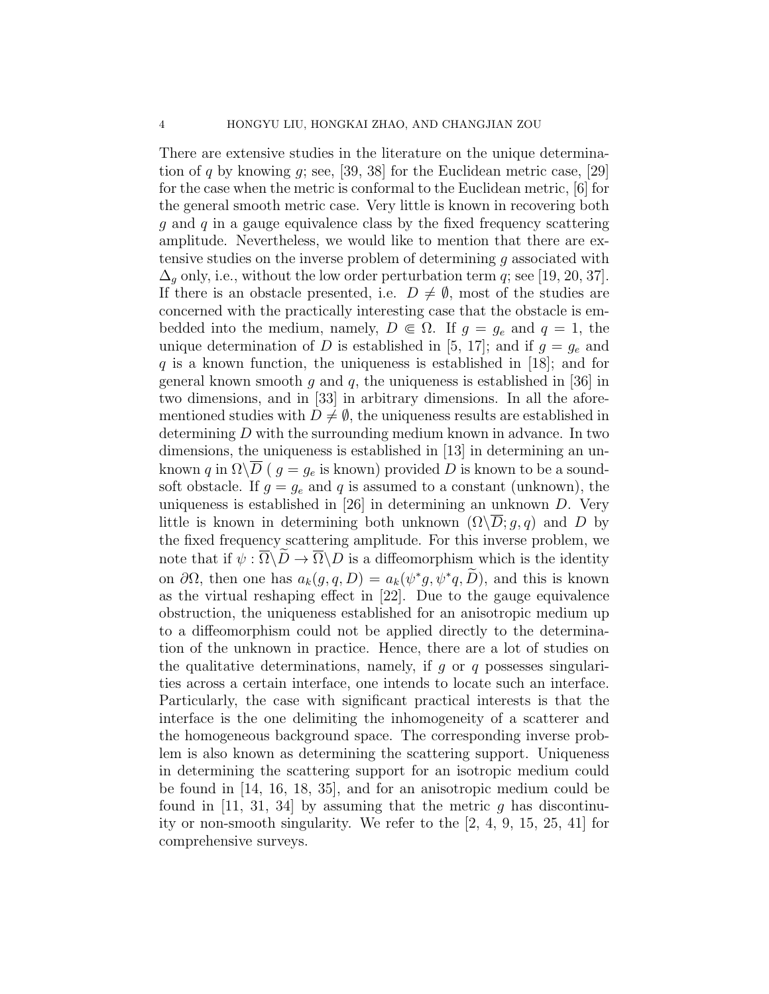There are extensive studies in the literature on the unique determination of q by knowing  $g$ ; see, [39, 38] for the Euclidean metric case, [29] for the case when the metric is conformal to the Euclidean metric, [6] for the general smooth metric case. Very little is known in recovering both g and q in a gauge equivalence class by the fixed frequency scattering amplitude. Nevertheless, we would like to mention that there are extensive studies on the inverse problem of determining g associated with  $\Delta_q$  only, i.e., without the low order perturbation term q; see [19, 20, 37]. If there is an obstacle presented, i.e.  $D \neq \emptyset$ , most of the studies are concerned with the practically interesting case that the obstacle is embedded into the medium, namely,  $D \in \Omega$ . If  $g = g_e$  and  $q = 1$ , the unique determination of D is established in [5, 17]; and if  $g = g_e$  and q is a known function, the uniqueness is established in  $|18|$ ; and for general known smooth q and q, the uniqueness is established in [36] in two dimensions, and in [33] in arbitrary dimensions. In all the aforementioned studies with  $D \neq \emptyset$ , the uniqueness results are established in determining D with the surrounding medium known in advance. In two dimensions, the uniqueness is established in [13] in determining an unknown q in  $\Omega \backslash \overline{D}$  (  $g = g_e$  is known) provided D is known to be a soundsoft obstacle. If  $g = g_e$  and q is assumed to a constant (unknown), the uniqueness is established in [26] in determining an unknown D. Very little is known in determining both unknown  $(\Omega\backslash\overline{D};g,q)$  and D by the fixed frequency scattering amplitude. For this inverse problem, we note that if  $\psi : \overline{\Omega} \backslash D \to \overline{\Omega} \backslash D$  is a diffeomorphism which is the identity on  $\partial\Omega$ , then one has  $a_k(g, q, D) = a_k(\psi^*g, \psi^*q, D)$ , and this is known as the virtual reshaping effect in [22]. Due to the gauge equivalence obstruction, the uniqueness established for an anisotropic medium up to a diffeomorphism could not be applied directly to the determination of the unknown in practice. Hence, there are a lot of studies on the qualitative determinations, namely, if  $g$  or  $q$  possesses singularities across a certain interface, one intends to locate such an interface. Particularly, the case with significant practical interests is that the interface is the one delimiting the inhomogeneity of a scatterer and the homogeneous background space. The corresponding inverse problem is also known as determining the scattering support. Uniqueness in determining the scattering support for an isotropic medium could be found in [14, 16, 18, 35], and for an anisotropic medium could be found in  $[11, 31, 34]$  by assuming that the metric g has discontinuity or non-smooth singularity. We refer to the [2, 4, 9, 15, 25, 41] for comprehensive surveys.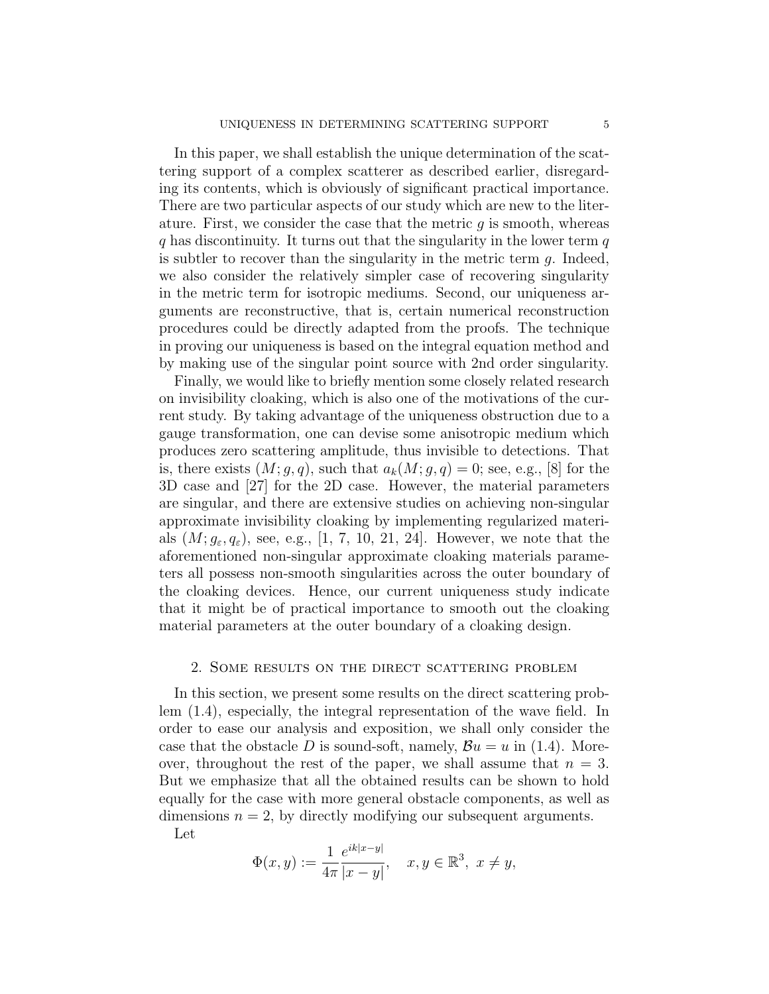In this paper, we shall establish the unique determination of the scattering support of a complex scatterer as described earlier, disregarding its contents, which is obviously of significant practical importance. There are two particular aspects of our study which are new to the literature. First, we consider the case that the metric  $q$  is smooth, whereas  $q$  has discontinuity. It turns out that the singularity in the lower term  $q$ is subtler to recover than the singularity in the metric term  $q$ . Indeed, we also consider the relatively simpler case of recovering singularity in the metric term for isotropic mediums. Second, our uniqueness arguments are reconstructive, that is, certain numerical reconstruction procedures could be directly adapted from the proofs. The technique in proving our uniqueness is based on the integral equation method and by making use of the singular point source with 2nd order singularity.

Finally, we would like to briefly mention some closely related research on invisibility cloaking, which is also one of the motivations of the current study. By taking advantage of the uniqueness obstruction due to a gauge transformation, one can devise some anisotropic medium which produces zero scattering amplitude, thus invisible to detections. That is, there exists  $(M; q, q)$ , such that  $a_k(M; q, q) = 0$ ; see, e.g., [8] for the 3D case and [27] for the 2D case. However, the material parameters are singular, and there are extensive studies on achieving non-singular approximate invisibility cloaking by implementing regularized materials  $(M; g<sub>\varepsilon</sub>, q<sub>\varepsilon</sub>)$ , see, e.g., [1, 7, 10, 21, 24]. However, we note that the aforementioned non-singular approximate cloaking materials parameters all possess non-smooth singularities across the outer boundary of the cloaking devices. Hence, our current uniqueness study indicate that it might be of practical importance to smooth out the cloaking material parameters at the outer boundary of a cloaking design.

### 2. Some results on the direct scattering problem

In this section, we present some results on the direct scattering problem (1.4), especially, the integral representation of the wave field. In order to ease our analysis and exposition, we shall only consider the case that the obstacle D is sound-soft, namely,  $\mathcal{B}u = u$  in (1.4). Moreover, throughout the rest of the paper, we shall assume that  $n = 3$ . But we emphasize that all the obtained results can be shown to hold equally for the case with more general obstacle components, as well as dimensions  $n = 2$ , by directly modifying our subsequent arguments.

Let

$$
\Phi(x, y) := \frac{1}{4\pi} \frac{e^{ik|x-y|}}{|x-y|}, \quad x, y \in \mathbb{R}^3, \ x \neq y,
$$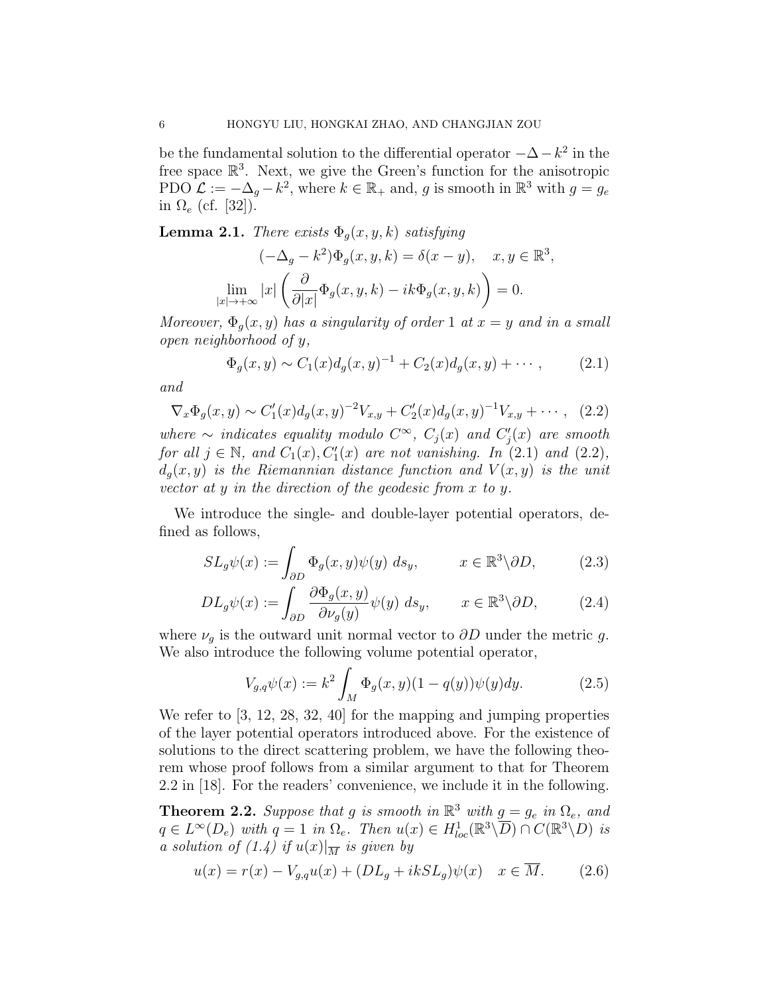be the fundamental solution to the differential operator  $-\Delta - k^2$  in the free space  $\mathbb{R}^3$ . Next, we give the Green's function for the anisotropic PDO  $\mathcal{L} := -\Delta_g - k^2$ , where  $k \in \mathbb{R}_+$  and, g is smooth in  $\mathbb{R}^3$  with  $g = g_e$ in  $\Omega_e$  (cf. [32]).

**Lemma 2.1.** There exists  $\Phi_g(x, y, k)$  satisfying

$$
(-\Delta_g - k^2) \Phi_g(x, y, k) = \delta(x - y), \quad x, y \in \mathbb{R}^3,
$$
  

$$
\lim_{|x| \to +\infty} |x| \left( \frac{\partial}{\partial |x|} \Phi_g(x, y, k) - ik \Phi_g(x, y, k) \right) = 0.
$$

Moreover,  $\Phi_g(x, y)$  has a singularity of order 1 at  $x = y$  and in a small open neighborhood of y,

$$
\Phi_g(x, y) \sim C_1(x) d_g(x, y)^{-1} + C_2(x) d_g(x, y) + \cdots, \qquad (2.1)
$$

and

$$
\nabla_x \Phi_g(x, y) \sim C_1'(x) d_g(x, y)^{-2} V_{x, y} + C_2'(x) d_g(x, y)^{-1} V_{x, y} + \cdots, \quad (2.2)
$$

where  $\sim$  indicates equality modulo  $C^{\infty}$ ,  $C_j(x)$  and  $C'_j(x)$  are smooth for all  $j \in \mathbb{N}$ , and  $C_1(x)$ ,  $C'_1(x)$  are not vanishing. In (2.1) and (2.2),  $d_q(x, y)$  is the Riemannian distance function and  $V(x, y)$  is the unit vector at y in the direction of the geodesic from x to y.

We introduce the single- and double-layer potential operators, defined as follows,

$$
SL_g\psi(x) := \int_{\partial D} \Phi_g(x, y)\psi(y) \, ds_y, \qquad x \in \mathbb{R}^3 \backslash \partial D, \tag{2.3}
$$

$$
DL_g\psi(x) := \int_{\partial D} \frac{\partial \Phi_g(x, y)}{\partial \nu_g(y)} \psi(y) \ ds_y, \qquad x \in \mathbb{R}^3 \backslash \partial D,
$$
 (2.4)

where  $\nu_g$  is the outward unit normal vector to  $\partial D$  under the metric g. We also introduce the following volume potential operator,

$$
V_{g,q}\psi(x) := k^2 \int_M \Phi_g(x,y)(1-q(y))\psi(y)dy.
$$
 (2.5)

We refer to  $\left[3, 12, 28, 32, 40\right]$  for the mapping and jumping properties of the layer potential operators introduced above. For the existence of solutions to the direct scattering problem, we have the following theorem whose proof follows from a similar argument to that for Theorem 2.2 in [18]. For the readers' convenience, we include it in the following.

**Theorem 2.2.** Suppose that g is smooth in  $\mathbb{R}^3$  with  $g = g_e$  in  $\Omega_e$ , and  $q \in L^{\infty}(D_e)$  with  $q = 1$  in  $\Omega_e$ . Then  $u(x) \in H^1_{loc}(\mathbb{R}^3 \setminus \overline{D}) \cap C(\mathbb{R}^3 \setminus D)$  is a solution of  $(1.4)$  if  $u(x)|_{\overline{M}}$  is given by

$$
u(x) = r(x) - V_{g,q}u(x) + (DL_g + ikSL_g)\psi(x) \quad x \in \overline{M}.
$$
 (2.6)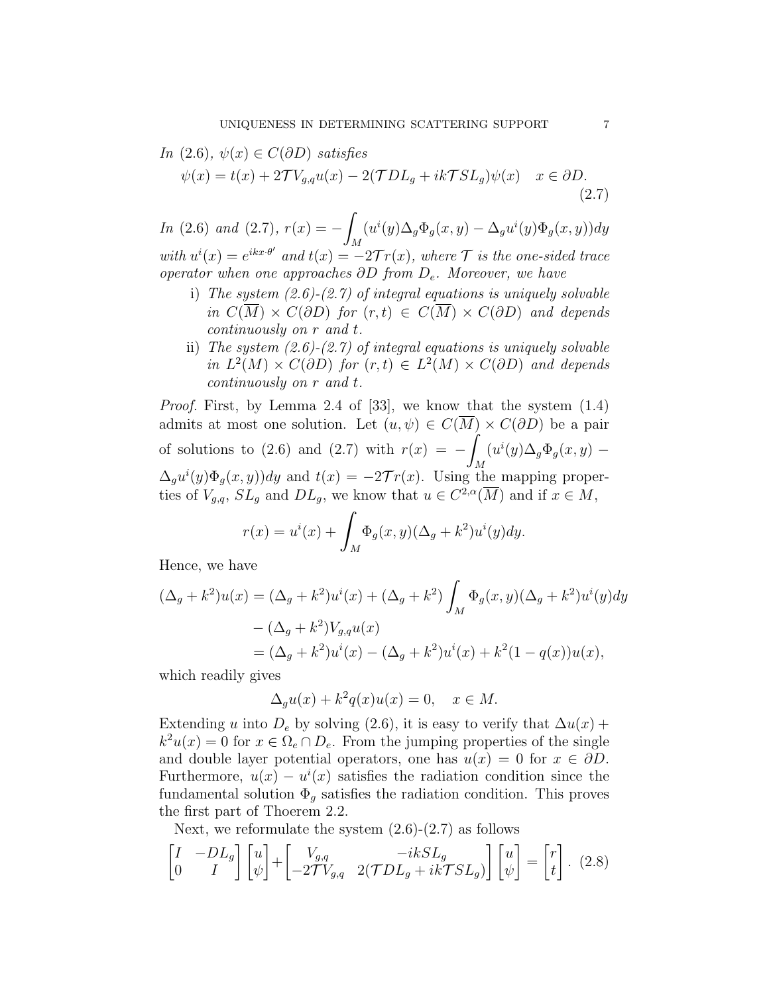In (2.6), 
$$
\psi(x) \in C(\partial D)
$$
 satisfies  
\n
$$
\psi(x) = t(x) + 2\mathcal{T}V_{g,q}u(x) - 2(\mathcal{T}DL_g + ik\mathcal{T}SL_g)\psi(x) \quad x \in \partial D.
$$
\n(2.7)

In (2.6) and (2.7),  $r(x) = -1$ M  $(u^{i}(y)\Delta_{g}\Phi_{g}(x, y) - \Delta_{g}u^{i}(y)\Phi_{g}(x, y))dy$ with  $u^{i}(x) = e^{ikx \cdot \theta'}$  and  $t(x) = -2\mathcal{T}r(x)$ , where  $\mathcal{T}$  is the one-sided trace operator when one approaches  $\partial D$  from  $D_e$ . Moreover, we have

- i) The system  $(2.6)-(2.7)$  of integral equations is uniquely solvable in  $C(\overline{M}) \times C(\partial D)$  for  $(r, t) \in C(\overline{M}) \times C(\partial D)$  and depends continuously on r and t.
- ii) The system  $(2.6)$ - $(2.7)$  of integral equations is uniquely solvable in  $L^2(M) \times C(\partial D)$  for  $(r, t) \in L^2(M) \times C(\partial D)$  and depends continuously on r and t.

Proof. First, by Lemma 2.4 of [33], we know that the system (1.4) admits at most one solution. Let  $(u, \psi) \in C(\overline{M}) \times C(\partial D)$  be a pair of solutions to (2.6) and (2.7) with  $r(x) = -1$ M  $(u^{i}(y)\Delta_{g}\Phi_{g}(x, y) \Delta_g u^i(y)\Phi_g(x, y)$  and  $t(x) = -2\mathcal{T}r(x)$ . Using the mapping properties of  $V_{g,q}$ ,  $SL_g$  and  $DL_g$ , we know that  $u \in C^{2,\alpha}(\overline{M})$  and if  $x \in M$ ,

$$
r(x) = u^{i}(x) + \int_{M} \Phi_{g}(x, y)(\Delta_{g} + k^{2})u^{i}(y)dy.
$$

Hence, we have

$$
(\Delta_g + k^2)u(x) = (\Delta_g + k^2)u^i(x) + (\Delta_g + k^2) \int_M \Phi_g(x, y)(\Delta_g + k^2)u^i(y)dy
$$
  

$$
- (\Delta_g + k^2)V_{g,q}u(x)
$$
  

$$
= (\Delta_g + k^2)u^i(x) - (\Delta_g + k^2)u^i(x) + k^2(1 - q(x))u(x),
$$

which readily gives

$$
\Delta_g u(x) + k^2 q(x) u(x) = 0, \quad x \in M.
$$

Extending u into  $D_e$  by solving (2.6), it is easy to verify that  $\Delta u(x)$  +  $k^2u(x) = 0$  for  $x \in \Omega_e \cap D_e$ . From the jumping properties of the single and double layer potential operators, one has  $u(x) = 0$  for  $x \in \partial D$ . Furthermore,  $u(x) - u^{i}(x)$  satisfies the radiation condition since the fundamental solution  $\Phi_q$  satisfies the radiation condition. This proves the first part of Thoerem 2.2.

Next, we reformulate the system  $(2.6)-(2.7)$  as follows

$$
\begin{bmatrix} I & -DL_g \ 0 & I \end{bmatrix} \begin{bmatrix} u \\ \psi \end{bmatrix} + \begin{bmatrix} V_{g,q} & -ikSL_g \\ -2\mathcal{T}V_{g,q} & 2(\mathcal{T}DL_g + ik\mathcal{T}SL_g) \end{bmatrix} \begin{bmatrix} u \\ \psi \end{bmatrix} = \begin{bmatrix} r \\ t \end{bmatrix}.
$$
 (2.8)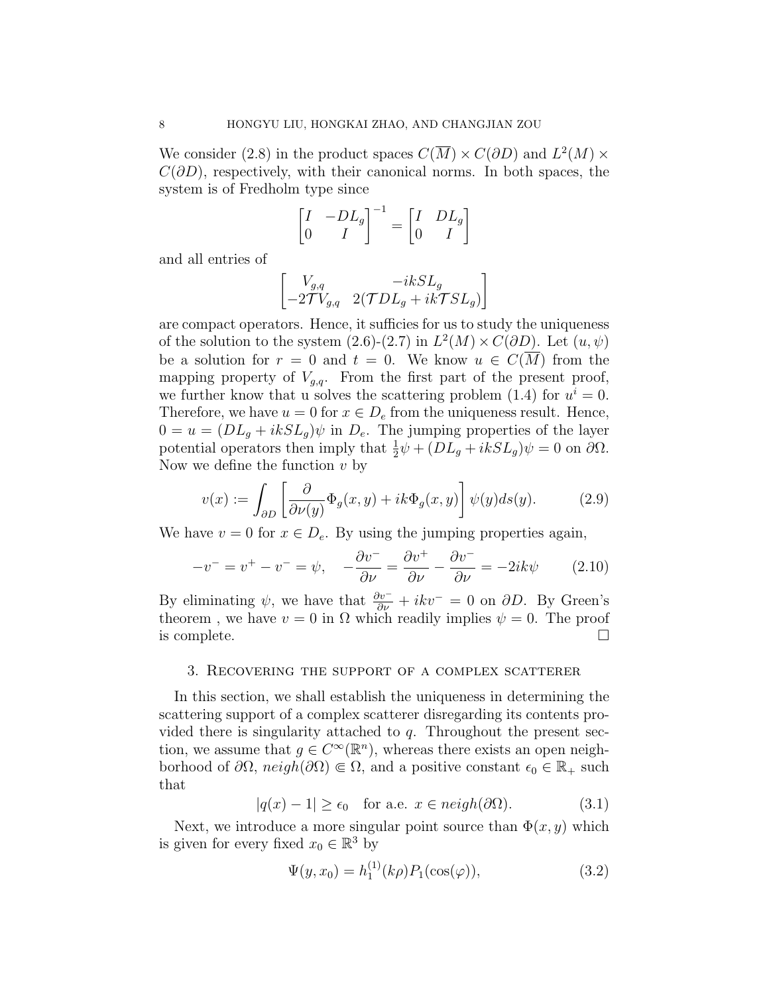We consider (2.8) in the product spaces  $C(\overline{M}) \times C(\partial D)$  and  $L^2(M) \times$  $C(\partial D)$ , respectively, with their canonical norms. In both spaces, the system is of Fredholm type since

$$
\begin{bmatrix} I & -DL_g \\ 0 & I \end{bmatrix}^{-1} = \begin{bmatrix} I & DL_g \\ 0 & I \end{bmatrix}
$$

and all entries of

$$
\begin{bmatrix} V_{g,q} & -ikSL_g \\ -2 {\cal T} V_{g,q} & 2 ({\cal T} D L_g + ik {\cal T} S L_g) \end{bmatrix}
$$

are compact operators. Hence, it sufficies for us to study the uniqueness of the solution to the system  $(2.6)-(2.7)$  in  $L^2(M) \times C(\partial D)$ . Let  $(u, \psi)$ be a solution for  $r = 0$  and  $t = 0$ . We know  $u \in C(M)$  from the mapping property of  $V_{g,q}$ . From the first part of the present proof, we further know that u solves the scattering problem (1.4) for  $u^i = 0$ . Therefore, we have  $u = 0$  for  $x \in D_e$  from the uniqueness result. Hence,  $0 = u = (DL_q + ikSL_q)\psi$  in  $D_e$ . The jumping properties of the layer potential operators then imply that  $\frac{1}{2}\psi + (DL_g + ikSL_g)\psi = 0$  on  $\partial\Omega$ . Now we define the function  $v$  by

$$
v(x) := \int_{\partial D} \left[ \frac{\partial}{\partial \nu(y)} \Phi_g(x, y) + ik \Phi_g(x, y) \right] \psi(y) ds(y). \tag{2.9}
$$

We have  $v = 0$  for  $x \in D_e$ . By using the jumping properties again,

$$
-v^- = v^+ - v^- = \psi, \quad -\frac{\partial v^-}{\partial \nu} = \frac{\partial v^+}{\partial \nu} - \frac{\partial v^-}{\partial \nu} = -2ik\psi \tag{2.10}
$$

By eliminating  $\psi$ , we have that  $\frac{\partial v^-}{\partial \nu} + ikv^- = 0$  on  $\partial D$ . By Green's theorem, we have  $v = 0$  in  $\Omega$  which readily implies  $\psi = 0$ . The proof is complete.  $\Box$ 

#### 3. Recovering the support of a complex scatterer

In this section, we shall establish the uniqueness in determining the scattering support of a complex scatterer disregarding its contents provided there is singularity attached to  $q$ . Throughout the present section, we assume that  $g \in C^{\infty}(\mathbb{R}^n)$ , whereas there exists an open neighborhood of  $\partial\Omega$ ,  $neigh(\partial\Omega) \in \Omega$ , and a positive constant  $\epsilon_0 \in \mathbb{R}_+$  such that

$$
|q(x) - 1| \ge \epsilon_0 \quad \text{for a.e. } x \in \text{neigh}(\partial \Omega). \tag{3.1}
$$

Next, we introduce a more singular point source than  $\Phi(x, y)$  which is given for every fixed  $x_0 \in \mathbb{R}^3$  by

$$
\Psi(y, x_0) = h_1^{(1)}(k\rho) P_1(\cos(\varphi)), \tag{3.2}
$$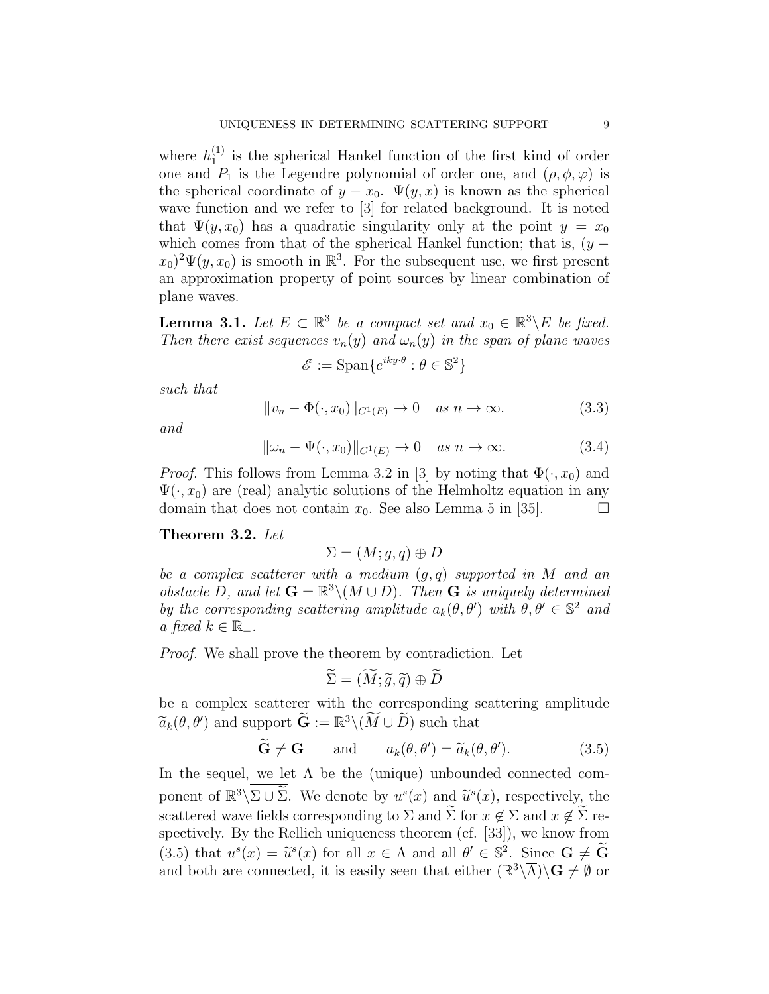where  $h_1^{(1)}$  $_1^{(1)}$  is the spherical Hankel function of the first kind of order one and  $P_1$  is the Legendre polynomial of order one, and  $(\rho, \phi, \varphi)$  is the spherical coordinate of  $y - x_0$ .  $\Psi(y, x)$  is known as the spherical wave function and we refer to [3] for related background. It is noted that  $\Psi(y, x_0)$  has a quadratic singularity only at the point  $y = x_0$ which comes from that of the spherical Hankel function; that is,  $(y (x_0)^2 \Psi(y, x_0)$  is smooth in  $\mathbb{R}^3$ . For the subsequent use, we first present an approximation property of point sources by linear combination of plane waves.

**Lemma 3.1.** Let  $E \subset \mathbb{R}^3$  be a compact set and  $x_0 \in \mathbb{R}^3 \backslash E$  be fixed. Then there exist sequences  $v_n(y)$  and  $\omega_n(y)$  in the span of plane waves

$$
\mathcal{E} := \text{Span}\{e^{iky \cdot \theta} : \theta \in \mathbb{S}^2\}
$$

such that

$$
||v_n - \Phi(\cdot, x_0)||_{C^1(E)} \to 0 \quad as \quad n \to \infty. \tag{3.3}
$$

and

$$
\|\omega_n - \Psi(\cdot, x_0)\|_{C^1(E)} \to 0 \quad \text{as } n \to \infty. \tag{3.4}
$$

*Proof.* This follows from Lemma 3.2 in [3] by noting that  $\Phi(\cdot, x_0)$  and  $\Psi(\cdot, x_0)$  are (real) analytic solutions of the Helmholtz equation in any domain that does not contain  $x_0$ . See also Lemma 5 in [35].

# Theorem 3.2. Let

$$
\Sigma = (M; g, q) \oplus D
$$

be a complex scatterer with a medium  $(q, q)$  supported in M and an obstacle D, and let  $\mathbf{G} = \mathbb{R}^3 \setminus (M \cup D)$ . Then  $\mathbf{G}$  is uniquely determined by the corresponding scattering amplitude  $a_k(\theta, \theta')$  with  $\theta, \theta' \in \mathbb{S}^2$  and a fixed  $k \in \mathbb{R}_+$ .

Proof. We shall prove the theorem by contradiction. Let

$$
\widetilde{\Sigma}=(\widetilde{M};\widetilde{g},\widetilde{q})\oplus \widetilde{D}
$$

be a complex scatterer with the corresponding scattering amplitude  $\widetilde{a}_k(\theta, \theta')$  and support  $\widetilde{G} := \mathbb{R}^3 \setminus (\widetilde{M} \cup \widetilde{D})$  such that

$$
\widetilde{\mathbf{G}} \neq \mathbf{G}
$$
 and  $a_k(\theta, \theta') = \widetilde{a}_k(\theta, \theta').$  (3.5)

In the sequel, we let  $\Lambda$  be the (unique) unbounded connected component of  $\mathbb{R}^3 \setminus \Sigma \cup \widetilde{\Sigma}$ . We denote by  $u^s(x)$  and  $\widetilde{u}^s(x)$ , respectively, the scattered wave fields corresponding to  $\Sigma$  and  $\Sigma$  for  $x \notin \Sigma$  and  $x \notin \Sigma$  respectively. By the Rellich uniqueness theorem (cf. [33]), we know from (3.5) that  $u^s(x) = \tilde{u}^s(x)$  for all  $x \in \Lambda$  and all  $\theta' \in \mathbb{S}^2$ . Since  $\mathbf{G} \neq \tilde{\mathbf{G}}$ <br>and both are connected it is easily seen that either  $(\mathbb{R}^3 \setminus \overline{\Lambda}) \setminus \mathbf{C} \neq \emptyset$  or and both are connected, it is easily seen that either  $(\mathbb{R}^3 \setminus \overline{\Lambda}) \setminus \mathbf{G} \neq \emptyset$  or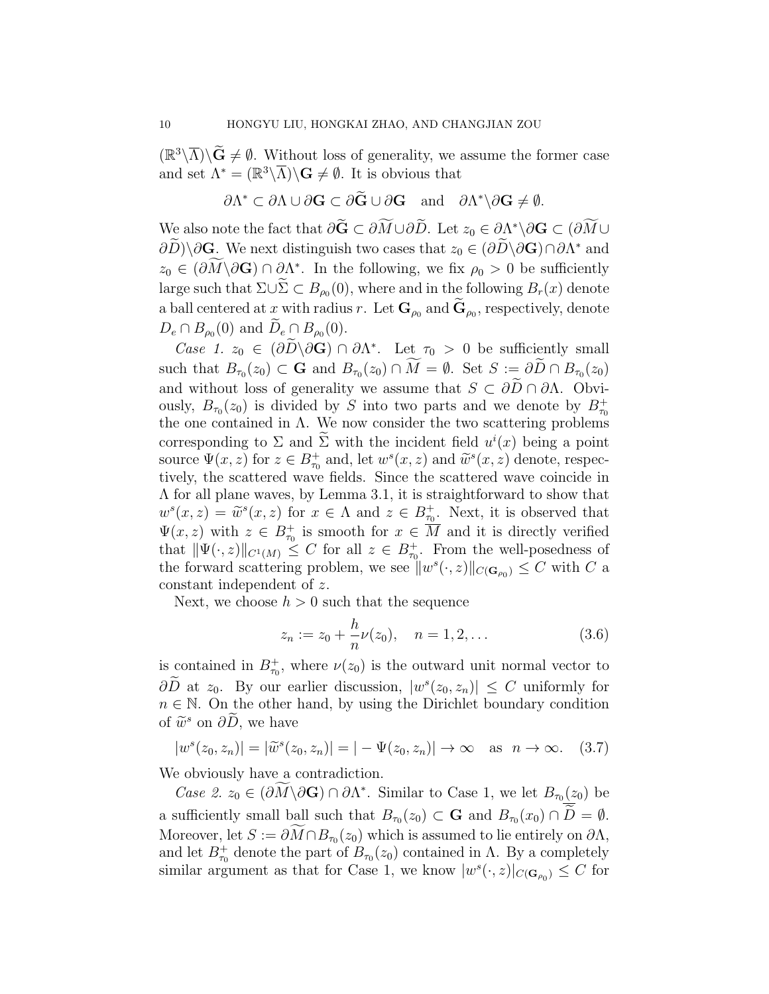$(\mathbb{R}^3\setminus\overline{\Lambda})\setminus\widetilde{G}\neq\emptyset$ . Without loss of generality, we assume the former case and set  $\Lambda^* = (\mathbb{R}^3 \backslash \overline{\Lambda}) \backslash \mathbf{G} \neq \emptyset$ . It is obvious that

$$
\partial \Lambda^* \subset \partial \Lambda \cup \partial \mathbf{G} \subset \partial \widetilde{\mathbf{G}} \cup \partial \mathbf{G} \quad \text{and} \quad \partial \Lambda^* \backslash \partial \mathbf{G} \neq \emptyset.
$$

We also note the fact that  $\partial \tilde{G} \subset \partial M \cup \partial \tilde{D}$ . Let  $z_0 \in \partial \Lambda^* \backslash \partial G \subset (\partial M \cup \tilde{C})$  $\partial D\setminus\partial\mathbf{G}$ . We next distinguish two cases that  $z_0 \in (\partial D\setminus\partial\mathbf{G})\cap\partial\Lambda^*$  and  $z_0 \in (\partial M \backslash \partial \mathbf{G}) \cap \partial \Lambda^*$ . In the following, we fix  $\rho_0 > 0$  be sufficiently large such that  $\Sigma \cup \Sigma \subset B_{\rho_0}(0)$ , where and in the following  $B_r(x)$  denote a ball centered at x with radius r. Let  $\mathbf{G}_{\rho_0}$  and  $\mathbf{G}_{\rho_0}$ , respectively, denote  $D_e \cap B_{\rho_0}(0)$  and  $D_e \cap B_{\rho_0}(0)$ .

Case 1.  $z_0 \in (\partial \tilde{D} \backslash \partial \mathbf{G}) \cap \partial \Lambda^*$ . Let  $\tau_0 > 0$  be sufficiently small such that  $B_{\tau_0}(z_0) \subset \mathbf{G}$  and  $B_{\tau_0}(z_0) \cap M = \emptyset$ . Set  $S := \partial D \cap B_{\tau_0}(z_0)$ and without loss of generality we assume that  $S \subset \partial \widetilde{D} \cap \partial \Lambda$ . Obviously,  $B_{\tau_0}(z_0)$  is divided by S into two parts and we denote by  $B_{\tau_0}^+$ the one contained in  $\Lambda$ . We now consider the two scattering problems corresponding to  $\Sigma$  and  $\Sigma$  with the incident field  $u^{i}(x)$  being a point source  $\Psi(x, z)$  for  $z \in B_{\tau_0}^+$  and, let  $w^s(x, z)$  and  $\widetilde{w}^s(x, z)$  denote, respectively the scattered wave fields. Since the scattered wave coincide in tively, the scattered wave fields. Since the scattered wave coincide in Λ for all plane waves, by Lemma 3.1, it is straightforward to show that  $w^{s}(x, z) = \widetilde{w}^{s}(x, z)$  for  $x \in \Lambda$  and  $z \in B_{\tau_{0}}^{+}$ . Next, it is observed that  $\Psi(x, z)$  with  $z \in B_{\tau_0}^+$  is smooth for  $x \in \overline{M}$  and it is directly verified that  $\|\Psi(\cdot, z)\|_{C^1(M)} \leq C$  for all  $z \in B^+_{\tau_0}$ . From the well-posedness of the forward scattering problem, we see  $||w^{s}(\cdot,z)||_{C(\mathbf{G}_{\rho_0})} \leq C$  with C a constant independent of z.

Next, we choose  $h > 0$  such that the sequence

$$
z_n := z_0 + \frac{h}{n}\nu(z_0), \quad n = 1, 2, \dots
$$
 (3.6)

is contained in  $B_{\tau_0}^+$ , where  $\nu(z_0)$  is the outward unit normal vector to  $\partial \overline{D}$  at  $z_0$ . By our earlier discussion,  $|w^s(z_0, z_n)| \leq C$  uniformly for  $n \in \mathbb{N}$ . On the other hand, by using the Dirichlet boundary condition of  $\widetilde{w}^s$  on  $\partial \widetilde{D}$ , we have

$$
|ws(z0, zn)| = |\widetilde{w}s(z0, zn)| = |-\Psi(z0, zn)| \to \infty \text{ as } n \to \infty.
$$
 (3.7)

We obviously have a contradiction.

Case 2.  $z_0 \in (\partial M \backslash \partial \mathbf{G}) \cap \partial \Lambda^*$ . Similar to Case 1, we let  $B_{\tau_0(z_0)}$  be a sufficiently small ball such that  $B_{\tau_0}(z_0) \subset \mathbf{G}$  and  $B_{\tau_0}(x_0) \cap D = \emptyset$ . Moreover, let  $S := \partial M \cap B_{\tau_0}(z_0)$  which is assumed to lie entirely on  $\partial \Lambda$ , and let  $B_{\tau_0}^+$  denote the part of  $B_{\tau_0}(z_0)$  contained in  $\Lambda$ . By a completely similar argument as that for Case 1, we know  $|w^{s}(\cdot,z)|_{C(\mathbf{G}_{\rho_0})} \leq C$  for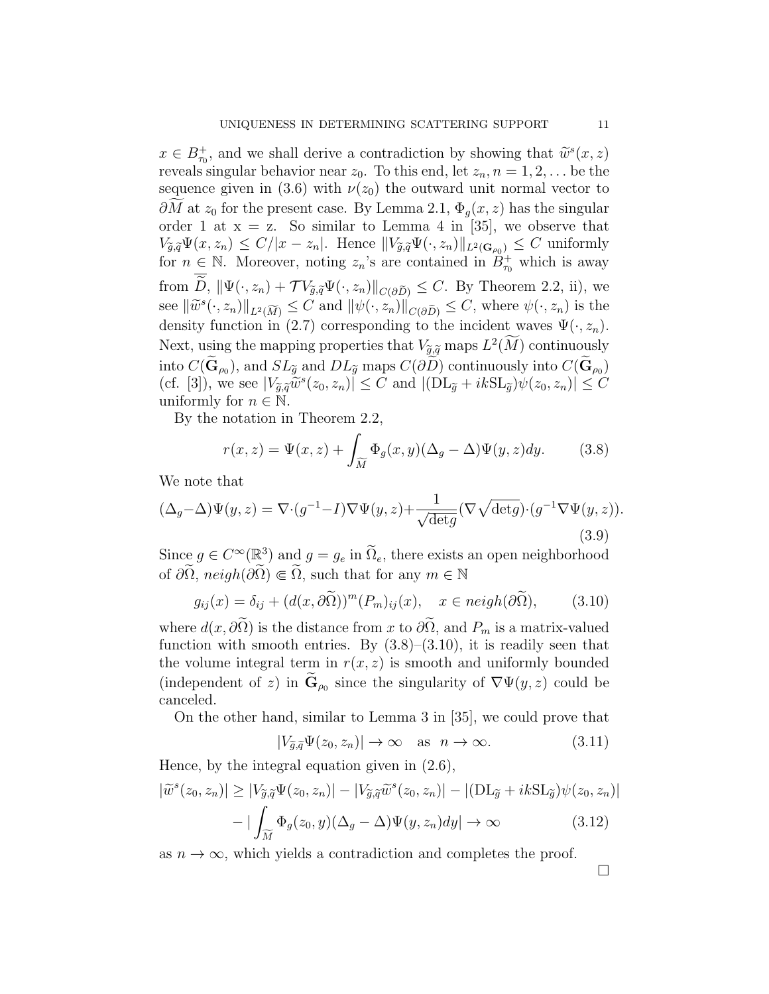$x \in B_{\tau_0}^+$ , and we shall derive a contradiction by showing that  $\widetilde{w}^s(x, z)$ <br>royals singular behavior near  $z_0$ . To this and let  $z_0$ ,  $x = 1, 2$ , be the reveals singular behavior near  $z_0$ . To this end, let  $z_n$ ,  $n = 1, 2, \ldots$  be the sequence given in (3.6) with  $\nu(z_0)$  the outward unit normal vector to  $\partial M$  at  $z_0$  for the present case. By Lemma 2.1,  $\Phi_q(x, z)$  has the singular order 1 at  $x = z$ . So similar to Lemma 4 in [35], we observe that  $V_{\tilde{g}, \tilde{q}} \Psi(x, z_n) \leq C/|x - z_n|$ . Hence  $||V_{\tilde{g}, \tilde{q}} \Psi(\cdot, z_n)||_{L^2(\mathbf{G}_{\rho_0})} \leq C$  uniformly for  $n \in \mathbb{N}$ . Moreover, noting  $z_n$ 's are contained in  $B_{\tau_0}^+$  which is away from  $\overline{\widetilde{D}}$ ,  $\|\Psi(\cdot, z_n) + \mathcal{T}V_{\widetilde{g},\widetilde{q}}\Psi(\cdot, z_n)\|_{C(\partial \widetilde{D})} \leq C$ . By Theorem 2.2, ii), we see  $\|\widetilde{w}^s(\cdot, z_n)\|_{L^2(\widetilde{M})} \leq C$  and  $\|\psi(\cdot, z_n)\|_{C(\partial \widetilde{D})} \leq C$ , where  $\psi(\cdot, z_n)$  is the density function in (2.7) corresponding to the incident waves  $\Psi(\cdot, z_n)$ . Next, using the mapping properties that  $V_{\tilde{g},\tilde{q}}$  maps  $L^2(M)$  continuously into  $C(\mathbf{G}_{\rho_0})$ , and  $SL_{\widetilde{g}}$  and  $DL_{\widetilde{g}}$  maps  $C(\partial D)$  continuously into  $C(\mathbf{G}_{\rho_0})$ (cf. [3]), we see  $|V_{\tilde{g},\tilde{q}}\tilde{w}^s(z_0,z_n)| \leq C$  and  $|(\text{DL}_{\tilde{g}}+ik\text{SL}_{\tilde{g}})\psi(z_0,z_n)| \leq C$ <br>uniformly for  $n \in \mathbb{N}$ uniformly for  $n \in \mathbb{N}$ .

By the notation in Theorem 2.2,

$$
r(x,z) = \Psi(x,z) + \int_{\widetilde{M}} \Phi_g(x,y) (\Delta_g - \Delta) \Psi(y,z) dy.
$$
 (3.8)

We note that

$$
(\Delta_g - \Delta)\Psi(y, z) = \nabla \cdot (g^{-1} - I)\nabla\Psi(y, z) + \frac{1}{\sqrt{\det g}} (\nabla \sqrt{\det g}) \cdot (g^{-1} \nabla\Psi(y, z)).
$$
\n(3.9)

Since  $g \in C^{\infty}(\mathbb{R}^3)$  and  $g = g_e$  in  $\widetilde{\Omega}_e$ , there exists an open neighborhood of  $\partial\Omega$ ,  $neigh(\partial\Omega) \in \Omega$ , such that for any  $m \in \mathbb{N}$ 

$$
g_{ij}(x) = \delta_{ij} + (d(x, \partial \tilde{\Omega}))^m (P_m)_{ij}(x), \quad x \in \text{neigh}(\partial \tilde{\Omega}), \tag{3.10}
$$

where  $d(x, \partial \Omega)$  is the distance from x to  $\partial \Omega$ , and  $P_m$  is a matrix-valued function with smooth entries. By  $(3.8)$ – $(3.10)$ , it is readily seen that the volume integral term in  $r(x, z)$  is smooth and uniformly bounded (independent of z) in  $\mathbf{G}_{\rho_0}$  since the singularity of  $\nabla \Psi(y, z)$  could be canceled.

On the other hand, similar to Lemma 3 in [35], we could prove that

$$
|V_{\tilde{g},\tilde{q}}\Psi(z_0,z_n)| \to \infty \quad \text{as} \quad n \to \infty. \tag{3.11}
$$

Hence, by the integral equation given in (2.6),

$$
|\widetilde{w}^s(z_0, z_n)| \ge |V_{\widetilde{g},\widetilde{q}}\Psi(z_0, z_n)| - |V_{\widetilde{g},\widetilde{q}}\widetilde{w}^s(z_0, z_n)| - |(\mathrm{DL}_{\widetilde{g}} + ik\mathrm{SL}_{\widetilde{g}})\psi(z_0, z_n)|
$$

$$
- |\int_{\widetilde{M}} \Phi_g(z_0, y)(\Delta_g - \Delta)\Psi(y, z_n)dy| \to \infty \tag{3.12}
$$

as  $n \to \infty$ , which yields a contradiction and completes the proof.

 $\Box$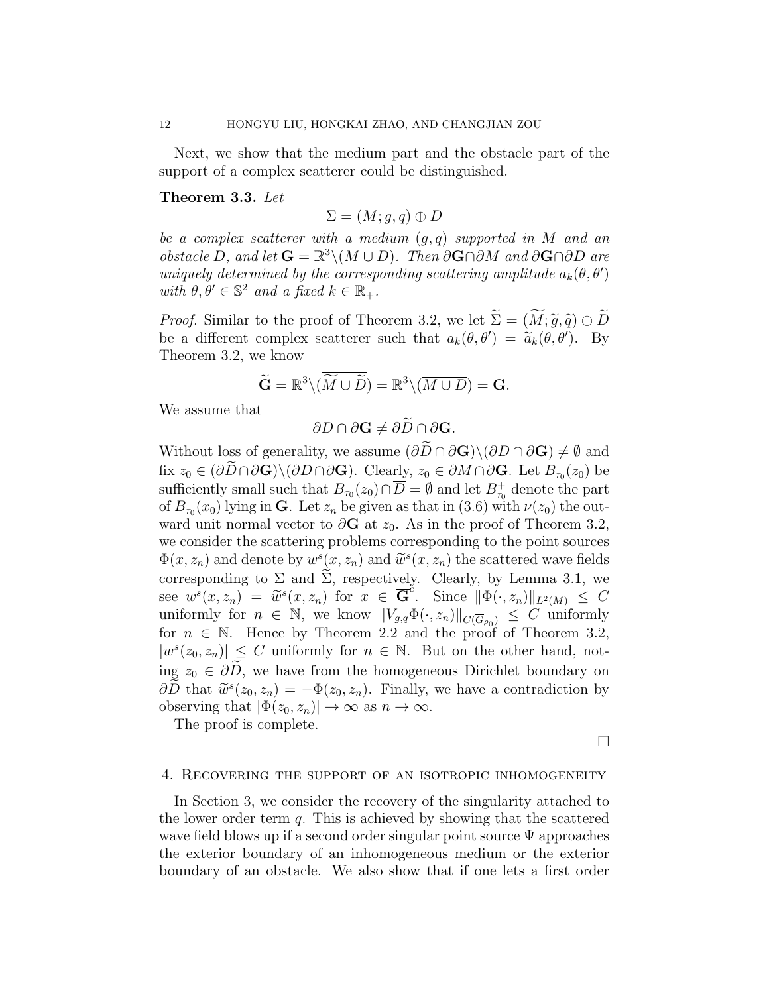Next, we show that the medium part and the obstacle part of the support of a complex scatterer could be distinguished.

## Theorem 3.3. Let

 $\Sigma = (M; q, q) \oplus D$ 

be a complex scatterer with a medium  $(q, q)$  supported in M and an *obstacle D, and let*  $\mathbf{G} = \mathbb{R}^3 \setminus (\overline{M \cup D})$ . Then ∂G∩∂M and ∂G∩∂D are uniquely determined by the corresponding scattering amplitude  $a_k(\theta, \theta')$ with  $\theta, \theta' \in \mathbb{S}^2$  and a fixed  $k \in \mathbb{R}_+$ .

*Proof.* Similar to the proof of Theorem 3.2, we let  $\widetilde{\Sigma} = (\widetilde{M}; \widetilde{g}, \widetilde{q}) \oplus \widetilde{D}$ be a different complex scatterer such that  $a_k(\theta, \theta') = \tilde{a}_k(\theta, \theta')$ . By<br>Theorem 3.2 we know Theorem 3.2, we know

$$
\widetilde{\mathbf{G}} = \mathbb{R}^3 \setminus (\widetilde{\widetilde{M} \cup \widetilde{D}}) = \mathbb{R}^3 \setminus (\overline{M \cup D}) = \mathbf{G}.
$$

We assume that

$$
\partial D \cap \partial \mathbf{G} \neq \partial \widetilde{D} \cap \partial \mathbf{G}.
$$

Without loss of generality, we assume  $(\partial \widetilde{D} \cap \partial \mathbf{G}) \setminus (\partial D \cap \partial \mathbf{G}) \neq \emptyset$  and fix  $z_0 \in (\partial D \cap \partial \mathbf{G}) \setminus (\partial D \cap \partial \mathbf{G})$ . Clearly,  $z_0 \in \partial M \cap \partial \mathbf{G}$ . Let  $B_{\tau_0}(z_0)$  be sufficiently small such that  $B_{\tau_0}(z_0) \cap \overline{D} = \emptyset$  and let  $B_{\tau_0}^+$  denote the part of  $B_{\tau_0}(x_0)$  lying in **G**. Let  $z_n$  be given as that in (3.6) with  $\nu(z_0)$  the outward unit normal vector to  $\partial G$  at  $z_0$ . As in the proof of Theorem 3.2, we consider the scattering problems corresponding to the point sources  $\Phi(x, z_n)$  and denote by  $w^s(x, z_n)$  and  $\widetilde{w}^s(x, z_n)$  the scattered wave fields<br>corresponding to  $\Sigma$  and  $\widetilde{\Sigma}$  recreatingly. Clearly, by Lamma 2.1, we corresponding to  $\Sigma$  and  $\Sigma$ , respectively. Clearly, by Lemma 3.1, we see  $w^{s}(x, z_n) = \tilde{w}^{s}(x, z_n)$  for  $x \in \overline{\mathbf{G}}^{c}$ . Since  $\|\Phi(\cdot, z_n)\|_{L^2(M)} \leq C$ <br>uniformly for  $n \in \mathbb{N}$  we know  $\|V \cdot \Phi(\cdot, z_1)\|_{L^2(M)} \leq C$  uniformly uniformly for  $n \in \mathbb{N}$ , we know  $||V_{g,q}\Phi(\cdot,z_n)||_{C(\overline{G}_{\rho_0})} \leq C$  uniformly for  $n \in \mathbb{N}$ . Hence by Theorem 2.2 and the proof of Theorem 3.2,  $|w^{s}(z_0, z_n)| \leq C$  uniformly for  $n \in \mathbb{N}$ . But on the other hand, noting  $z_0 \in \partial \tilde{D}$ , we have from the homogeneous Dirichlet boundary on  $\partial \tilde{D}$  that  $\tilde{w}^s(z_0, z_n) = -\Phi(z_0, z_n)$ . Finally, we have a contradiction by observing that  $|\Phi(z_0, z_n)| \to \infty$  as  $n \to \infty$ .

The proof is complete.

 $\Box$ 

#### 4. Recovering the support of an isotropic inhomogeneity

In Section 3, we consider the recovery of the singularity attached to the lower order term  $q$ . This is achieved by showing that the scattered wave field blows up if a second order singular point source Ψ approaches the exterior boundary of an inhomogeneous medium or the exterior boundary of an obstacle. We also show that if one lets a first order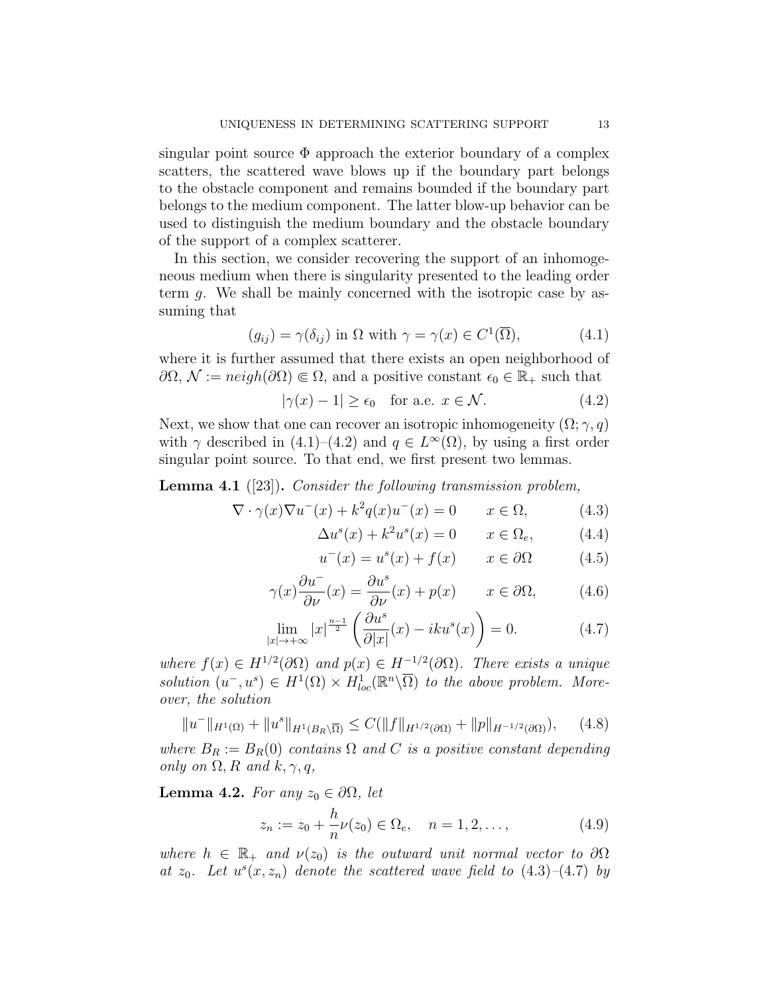singular point source  $\Phi$  approach the exterior boundary of a complex scatters, the scattered wave blows up if the boundary part belongs to the obstacle component and remains bounded if the boundary part belongs to the medium component. The latter blow-up behavior can be used to distinguish the medium boundary and the obstacle boundary of the support of a complex scatterer.

In this section, we consider recovering the support of an inhomogeneous medium when there is singularity presented to the leading order term g. We shall be mainly concerned with the isotropic case by assuming that

$$
(g_{ij}) = \gamma(\delta_{ij}) \text{ in } \Omega \text{ with } \gamma = \gamma(x) \in C^1(\overline{\Omega}), \tag{4.1}
$$

where it is further assumed that there exists an open neighborhood of  $\partial\Omega, \mathcal{N} := \text{neigh}(\partial\Omega) \in \Omega$ , and a positive constant  $\epsilon_0 \in \mathbb{R}_+$  such that

$$
|\gamma(x) - 1| \ge \epsilon_0 \quad \text{for a.e. } x \in \mathcal{N}.\tag{4.2}
$$

Next, we show that one can recover an isotropic inhomogeneity  $(\Omega; \gamma, q)$ with  $\gamma$  described in (4.1)–(4.2) and  $q \in L^{\infty}(\Omega)$ , by using a first order singular point source. To that end, we first present two lemmas.

Lemma 4.1 ([23]). Consider the following transmission problem,

$$
\nabla \cdot \gamma(x)\nabla u^-(x) + k^2 q(x)u^-(x) = 0 \qquad x \in \Omega,
$$
 (4.3)

$$
\Delta u^s(x) + k^2 u^s(x) = 0 \qquad x \in \Omega_e,
$$
 (4.4)

$$
u^{-}(x) = u^{s}(x) + f(x) \qquad x \in \partial\Omega \tag{4.5}
$$

$$
\gamma(x)\frac{\partial u^-}{\partial \nu}(x) = \frac{\partial u^s}{\partial \nu}(x) + p(x) \qquad x \in \partial \Omega,
$$
\n(4.6)

$$
\lim_{|x| \to +\infty} |x|^{\frac{n-1}{2}} \left( \frac{\partial u^s}{\partial |x|} (x) - iku^s(x) \right) = 0.
$$
 (4.7)

where  $f(x) \in H^{1/2}(\partial \Omega)$  and  $p(x) \in H^{-1/2}(\partial \Omega)$ . There exists a unique solution  $(u^-, u^s) \in H^1(\Omega) \times H^1_{loc}(\mathbb{R}^n \setminus \overline{\Omega})$  to the above problem. Moreover, the solution

$$
||u^-||_{H^1(\Omega)} + ||u^s||_{H^1(B_R \backslash \overline{\Omega})} \le C(||f||_{H^{1/2}(\partial \Omega)} + ||p||_{H^{-1/2}(\partial \Omega)}), \quad (4.8)
$$

where  $B_R := B_R(0)$  contains  $\Omega$  and C is a positive constant depending only on  $\Omega$ , R and k,  $\gamma$ , q,

Lemma 4.2. For any  $z_0 \in \partial \Omega$ , let

$$
z_n := z_0 + \frac{h}{n}\nu(z_0) \in \Omega_e, \quad n = 1, 2, \dots,
$$
 (4.9)

where  $h \in \mathbb{R}_+$  and  $\nu(z_0)$  is the outward unit normal vector to  $\partial\Omega$ at  $z_0$ . Let  $u^s(x, z_n)$  denote the scattered wave field to  $(4.3)$ - $(4.7)$  by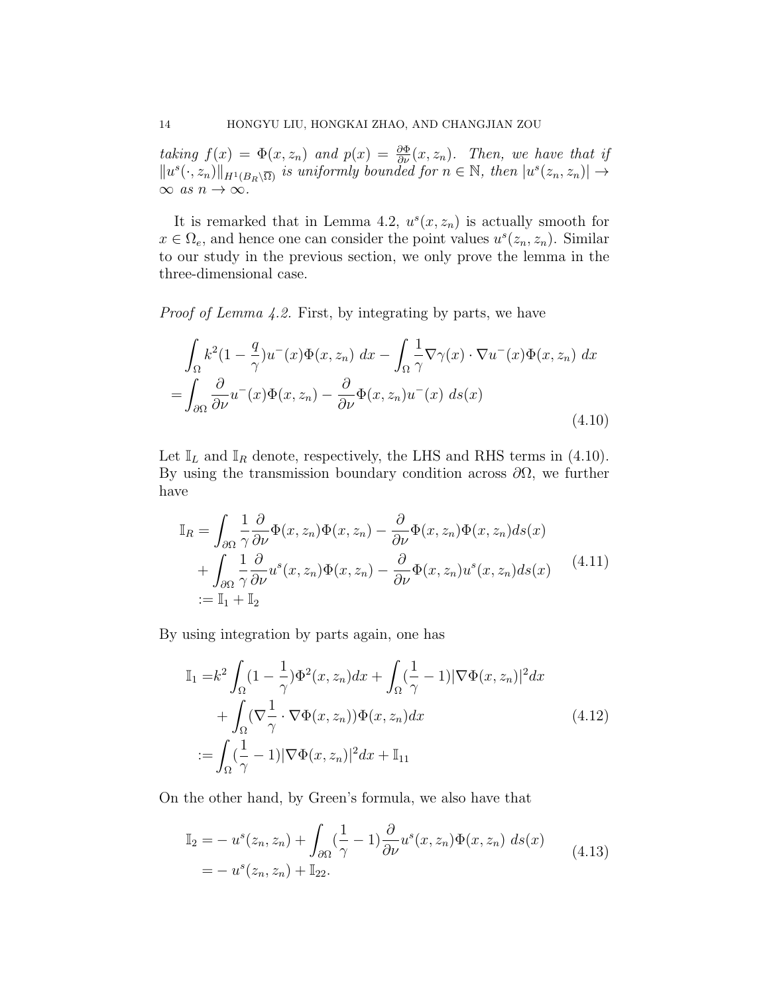taking  $f(x) = \Phi(x, z_n)$  and  $p(x) = \frac{\partial \Phi}{\partial \nu}(x, z_n)$ . Then, we have that if  $||u^s(\cdot, z_n)||_{H^1(B_R\setminus\overline{\Omega})}$  is uniformly bounded for  $n \in \mathbb{N}$ , then  $|u^s(z_n, z_n)| \to$  $\infty$  as  $n \to \infty$ .

It is remarked that in Lemma 4.2,  $u^s(x, z_n)$  is actually smooth for  $x \in \Omega_e$ , and hence one can consider the point values  $u^s(z_n, z_n)$ . Similar to our study in the previous section, we only prove the lemma in the three-dimensional case.

Proof of Lemma 4.2. First, by integrating by parts, we have

$$
\int_{\Omega} k^2 (1 - \frac{q}{\gamma}) u^-(x) \Phi(x, z_n) dx - \int_{\Omega} \frac{1}{\gamma} \nabla \gamma(x) \cdot \nabla u^-(x) \Phi(x, z_n) dx
$$

$$
= \int_{\partial \Omega} \frac{\partial}{\partial \nu} u^-(x) \Phi(x, z_n) - \frac{\partial}{\partial \nu} \Phi(x, z_n) u^-(x) ds(x)
$$
(4.10)

Let  $\mathbb{I}_L$  and  $\mathbb{I}_R$  denote, respectively, the LHS and RHS terms in (4.10). By using the transmission boundary condition across  $\partial\Omega$ , we further have

$$
\mathbb{I}_R = \int_{\partial\Omega} \frac{1}{\gamma} \frac{\partial}{\partial \nu} \Phi(x, z_n) \Phi(x, z_n) - \frac{\partial}{\partial \nu} \Phi(x, z_n) \Phi(x, z_n) ds(x) \n+ \int_{\partial\Omega} \frac{1}{\gamma} \frac{\partial}{\partial \nu} u^s(x, z_n) \Phi(x, z_n) - \frac{\partial}{\partial \nu} \Phi(x, z_n) u^s(x, z_n) ds(x) \tag{4.11}
$$
\n
$$
:= \mathbb{I}_1 + \mathbb{I}_2
$$

By using integration by parts again, one has

$$
\mathbb{I}_1 = k^2 \int_{\Omega} (1 - \frac{1}{\gamma}) \Phi^2(x, z_n) dx + \int_{\Omega} (\frac{1}{\gamma} - 1) |\nabla \Phi(x, z_n)|^2 dx
$$
  
+ 
$$
\int_{\Omega} (\nabla \frac{1}{\gamma} \cdot \nabla \Phi(x, z_n)) \Phi(x, z_n) dx
$$
  

$$
:= \int_{\Omega} (\frac{1}{\gamma} - 1) |\nabla \Phi(x, z_n)|^2 dx + \mathbb{I}_{11}
$$
 (4.12)

On the other hand, by Green's formula, we also have that

$$
\mathbb{I}_2 = -u^s(z_n, z_n) + \int_{\partial\Omega} (\frac{1}{\gamma} - 1) \frac{\partial}{\partial \nu} u^s(x, z_n) \Phi(x, z_n) ds(x) \n= -u^s(z_n, z_n) + \mathbb{I}_{22}.
$$
\n(4.13)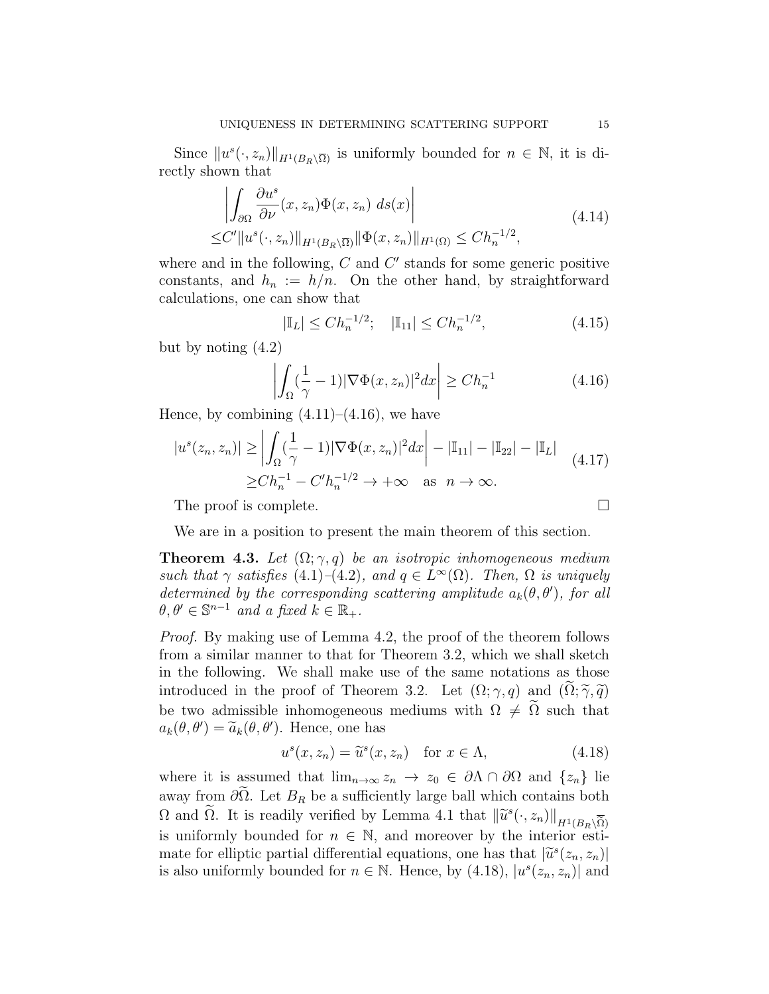Since  $||u^s(\cdot, z_n)||_{H^1(B_R\setminus\overline{\Omega})}$  is uniformly bounded for  $n \in \mathbb{N}$ , it is directly shown that

$$
\left| \int_{\partial \Omega} \frac{\partial u^s}{\partial \nu} (x, z_n) \Phi(x, z_n) ds(x) \right|
$$
\n
$$
\leq C' \| u^s(\cdot, z_n) \|_{H^1(B_R \setminus \overline{\Omega})} \| \Phi(x, z_n) \|_{H^1(\Omega)} \leq C h_n^{-1/2},
$$
\n(4.14)

where and in the following,  $C$  and  $C'$  stands for some generic positive constants, and  $h_n := h/n$ . On the other hand, by straightforward calculations, one can show that

$$
|\mathbb{I}_L| \le Ch_n^{-1/2}; \quad |\mathbb{I}_{11}| \le Ch_n^{-1/2}, \tag{4.15}
$$

but by noting (4.2)

$$
\left| \int_{\Omega} \left( \frac{1}{\gamma} - 1 \right) |\nabla \Phi(x, z_n)|^2 dx \right| \ge C h_n^{-1} \tag{4.16}
$$

Hence, by combining  $(4.11)$ – $(4.16)$ , we have

$$
|u^{s}(z_{n}, z_{n})| \geq \left| \int_{\Omega} (\frac{1}{\gamma} - 1) |\nabla \Phi(x, z_{n})|^{2} dx \right| - |\mathbb{I}_{11}| - |\mathbb{I}_{22}| - |\mathbb{I}_{L}|
$$
  
\n
$$
\geq Ch_{n}^{-1} - C'h_{n}^{-1/2} \to +\infty \quad \text{as} \quad n \to \infty.
$$
\n(4.17)

The proof is complete.

We are in a position to present the main theorem of this section.

**Theorem 4.3.** Let  $(\Omega; \gamma, q)$  be an isotropic inhomogeneous medium such that  $\gamma$  satisfies (4.1)–(4.2), and  $q \in L^{\infty}(\Omega)$ . Then,  $\Omega$  is uniquely determined by the corresponding scattering amplitude  $a_k(\theta, \theta')$ , for all  $\theta, \theta' \in \mathbb{S}^{n-1}$  and a fixed  $k \in \mathbb{R}_+$ .

Proof. By making use of Lemma 4.2, the proof of the theorem follows from a similar manner to that for Theorem 3.2, which we shall sketch in the following. We shall make use of the same notations as those introduced in the proof of Theorem 3.2. Let  $(\Omega; \gamma, q)$  and  $(\widetilde{\Omega}; \widetilde{\gamma}, \widetilde{q})$ be two admissible inhomogeneous mediums with  $\Omega \neq \tilde{\Omega}$  such that  $a_k(\theta, \theta') = \tilde{a}_k(\theta, \theta')$ . Hence, one has

$$
u^{s}(x, z_{n}) = \tilde{u}^{s}(x, z_{n}) \quad \text{for } x \in \Lambda,
$$
\n(4.18)

where it is assumed that  $\lim_{n\to\infty} z_n \to z_0 \in \partial\Lambda \cap \partial\Omega$  and  $\{z_n\}$  lie away from  $\partial \tilde{\Omega}$ . Let  $B_R$  be a sufficiently large ball which contains both  $\Omega$  and  $\tilde{\Omega}$ . It is readily verified by Lemma 4.1 that  $\left\|\tilde{u}^s(\cdot,z_n)\right\|_{H^1(B_R\setminus\overline{\tilde{\Omega}})}$ is uniformly bounded for  $n \in \mathbb{N}$ , and moreover by the interior estimate for elliptic partial differential equations, one has that  $|\tilde{u}^s(z_n, z_n)|$ <br>is also uniformly bounded for  $n \in \mathbb{N}$ . Hence, by  $(4.18)$ ,  $|u^s(z_n, z_n)|$  and is also uniformly bounded for  $n \in \mathbb{N}$ . Hence, by (4.18),  $|u^{s}(z_{n}, z_{n})|$  and

$$
\qquad \qquad \Box
$$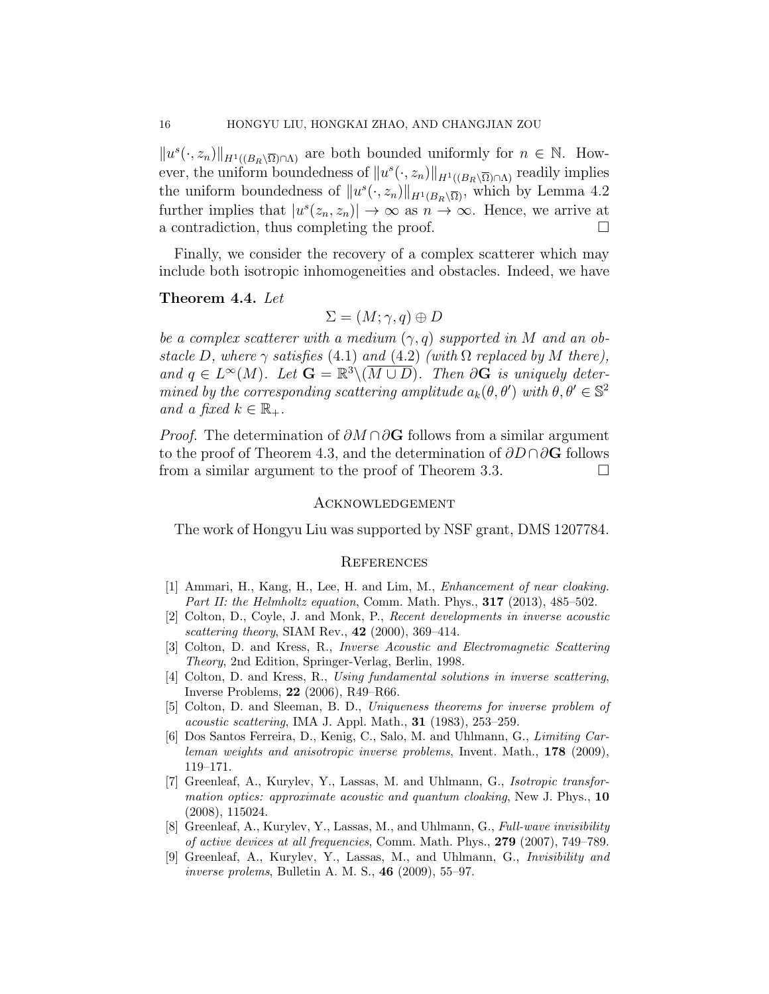$||u^{s}(\cdot, z_{n})||_{H^{1}((B_{R}\setminus\overline{\Omega})\cap\Lambda)}$  are both bounded uniformly for  $n \in \mathbb{N}$ . However, the uniform boundedness of  $||u^s(\cdot, z_n)||_{H^1((B_R\setminus\overline{\Omega})\cap\Lambda)}$  readily implies the uniform boundedness of  $||u^s(\cdot, z_n)||_{H^1(B_R\setminus\overline{\Omega})}$ , which by Lemma 4.2 further implies that  $|u^{s}(z_n, z_n)| \to \infty$  as  $n \to \infty$ . Hence, we arrive at a contradiction, thus completing the proof.  $\Box$ 

Finally, we consider the recovery of a complex scatterer which may include both isotropic inhomogeneities and obstacles. Indeed, we have

# Theorem 4.4. Let

$$
\Sigma = (M; \gamma, q) \oplus D
$$

be a complex scatterer with a medium  $(\gamma, q)$  supported in M and an obstacle D, where  $\gamma$  satisfies (4.1) and (4.2) (with  $\Omega$  replaced by M there), and  $q \in L^{\infty}(M)$ . Let  $\mathbf{G} = \mathbb{R}^3 \setminus (\overline{M \cup D})$ . Then  $\partial \mathbf{G}$  is uniquely determined by the corresponding scattering amplitude  $a_k(\theta, \theta')$  with  $\theta, \theta' \in \mathbb{S}^2$ and a fixed  $k \in \mathbb{R}_+$ .

*Proof.* The determination of  $\partial M \cap \partial G$  follows from a similar argument to the proof of Theorem 4.3, and the determination of  $\partial D \cap \partial G$  follows from a similar argument to the proof of Theorem 3.3.

# Acknowledgement

The work of Hongyu Liu was supported by NSF grant, DMS 1207784.

#### **REFERENCES**

- [1] Ammari, H., Kang, H., Lee, H. and Lim, M., Enhancement of near cloaking. Part II: the Helmholtz equation, Comm. Math. Phys., 317 (2013), 485–502.
- [2] Colton, D., Coyle, J. and Monk, P., Recent developments in inverse acoustic scattering theory, SIAM Rev.,  $42$  (2000), 369–414.
- [3] Colton, D. and Kress, R., Inverse Acoustic and Electromagnetic Scattering Theory, 2nd Edition, Springer-Verlag, Berlin, 1998.
- [4] Colton, D. and Kress, R., Using fundamental solutions in inverse scattering, Inverse Problems, 22 (2006), R49–R66.
- [5] Colton, D. and Sleeman, B. D., Uniqueness theorems for inverse problem of acoustic scattering, IMA J. Appl. Math., 31 (1983), 253–259.
- [6] Dos Santos Ferreira, D., Kenig, C., Salo, M. and Uhlmann, G., Limiting Carleman weights and anisotropic inverse problems, Invent. Math., 178 (2009), 119–171.
- [7] Greenleaf, A., Kurylev, Y., Lassas, M. and Uhlmann, G., Isotropic transformation optics: approximate acoustic and quantum cloaking, New J. Phys.,  $10$ (2008), 115024.
- [8] Greenleaf, A., Kurylev, Y., Lassas, M., and Uhlmann, G., Full-wave invisibility of active devices at all frequencies, Comm. Math. Phys., 279 (2007), 749–789.
- [9] Greenleaf, A., Kurylev, Y., Lassas, M., and Uhlmann, G., Invisibility and inverse prolems, Bulletin A. M. S., 46 (2009), 55–97.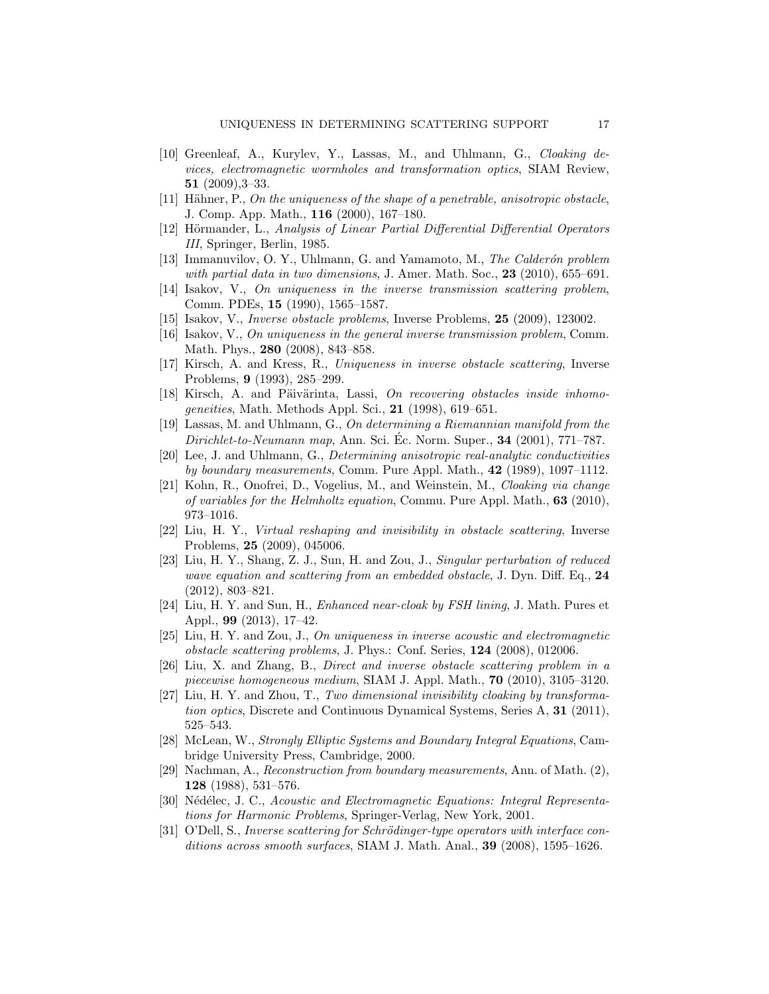- [10] Greenleaf, A., Kurylev, Y., Lassas, M., and Uhlmann, G., Cloaking devices, electromagnetic wormholes and transformation optics, SIAM Review, 51 (2009),3–33.
- [11] Hähner, P., On the uniqueness of the shape of a penetrable, anisotropic obstacle, J. Comp. App. Math., 116 (2000), 167–180.
- [12] Hörmander, L., Analysis of Linear Partial Differential Differential Operators III, Springer, Berlin, 1985.
- [13] Immanuvilov, O. Y., Uhlmann, G. and Yamamoto, M., The Calderón problem with partial data in two dimensions, J. Amer. Math. Soc.,  $23$  (2010), 655–691.
- [14] Isakov, V., On uniqueness in the inverse transmission scattering problem, Comm. PDEs, 15 (1990), 1565–1587.
- [15] Isakov, V., Inverse obstacle problems, Inverse Problems, 25 (2009), 123002.
- [16] Isakov, V., On uniqueness in the general inverse transmission problem, Comm. Math. Phys., 280 (2008), 843–858.
- [17] Kirsch, A. and Kress, R., Uniqueness in inverse obstacle scattering, Inverse Problems, 9 (1993), 285–299.
- $[18]$  Kirsch, A. and Päivärinta, Lassi, On recovering obstacles inside inhomogeneities, Math. Methods Appl. Sci., 21 (1998), 619–651.
- [19] Lassas, M. and Uhlmann, G., On determining a Riemannian manifold from the Dirichlet-to-Neumann map, Ann. Sci. Éc. Norm. Super.,  $34$  (2001), 771–787.
- [20] Lee, J. and Uhlmann, G., Determining anisotropic real-analytic conductivities by boundary measurements, Comm. Pure Appl. Math., 42 (1989), 1097–1112.
- [21] Kohn, R., Onofrei, D., Vogelius, M., and Weinstein, M., Cloaking via change of variables for the Helmholtz equation, Commu. Pure Appl. Math., 63 (2010), 973–1016.
- [22] Liu, H. Y., Virtual reshaping and invisibility in obstacle scattering, Inverse Problems, 25 (2009), 045006.
- [23] Liu, H. Y., Shang, Z. J., Sun, H. and Zou, J., Singular perturbation of reduced wave equation and scattering from an embedded obstacle, J. Dyn. Diff. Eq., 24 (2012), 803–821.
- [24] Liu, H. Y. and Sun, H., Enhanced near-cloak by FSH lining, J. Math. Pures et Appl., 99 (2013), 17–42.
- [25] Liu, H. Y. and Zou, J., On uniqueness in inverse acoustic and electromagnetic obstacle scattering problems, J. Phys.: Conf. Series, 124 (2008), 012006.
- [26] Liu, X. and Zhang, B., Direct and inverse obstacle scattering problem in a piecewise homogeneous medium, SIAM J. Appl. Math., 70 (2010), 3105–3120.
- [27] Liu, H. Y. and Zhou, T., Two dimensional invisibility cloaking by transformation optics, Discrete and Continuous Dynamical Systems, Series A, 31 (2011), 525–543.
- [28] McLean, W., Strongly Elliptic Systems and Boundary Integral Equations, Cambridge University Press, Cambridge, 2000.
- [29] Nachman, A., Reconstruction from boundary measurements, Ann. of Math. (2), 128 (1988), 531–576.
- [30] Nédélec, J. C., Acoustic and Electromagnetic Equations: Integral Representations for Harmonic Problems, Springer-Verlag, New York, 2001.
- [31] O'Dell, S., Inverse scattering for Schrödinger-type operators with interface conditions across smooth surfaces, SIAM J. Math. Anal., 39 (2008), 1595–1626.